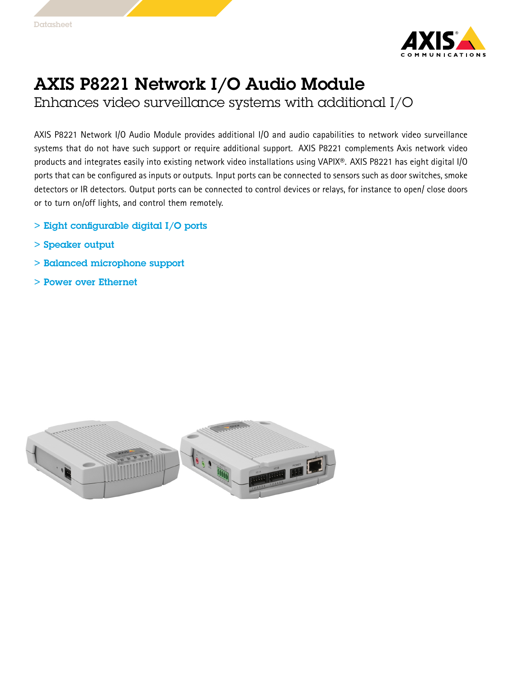

## AXIS P8221 Network I/O Audio Module

Enhances video surveillance systems with additional I/O

AXIS P8221 Network I/O Audio Module provides additional I/O and audio capabilities to network video surveillance systems that do not have such support or require additional support. AXIS P8221 complements Axis network video products and integrates easily into existing network video installations using VAPIX®. AXIS P8221 has eight digital I/O ports that can be configured as inputs or outputs. Input ports can be connected to sensors such as door switches, smoke detectors or IR detectors. Output ports can be connected to control devices or relays, for instance to open/ close doors or to turn on/off lights, and control them remotely.

- > Eight configurable digital I/O ports
- > Speaker output
- > Balanced microphone support
- > Power over Ethernet